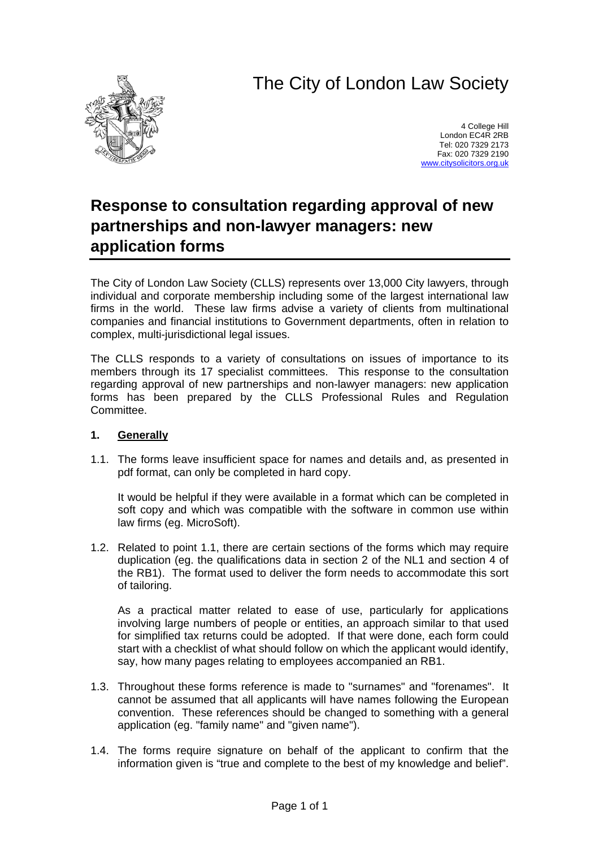# The City of London Law Society



4 College Hill London EC4R 2RB Tel: 020 7329 2173 Fax: 020 7329 2190 [www.citysolicitors.org.uk](http://www.citysolicitors.org.uk/)

# **Response to consultation regarding approval of new partnerships and non-lawyer managers: new application forms**

The City of London Law Society (CLLS) represents over 13,000 City lawyers, through individual and corporate membership including some of the largest international law firms in the world. These law firms advise a variety of clients from multinational companies and financial institutions to Government departments, often in relation to complex, multi-jurisdictional legal issues.

The CLLS responds to a variety of consultations on issues of importance to its members through its 17 specialist committees. This response to the consultation regarding approval of new partnerships and non-lawyer managers: new application forms has been prepared by the CLLS Professional Rules and Regulation Committee.

### **1. Generally**

<span id="page-0-0"></span>1.1. The forms leave insufficient space for names and details and, as presented in pdf format, can only be completed in hard copy.

It would be helpful if they were available in a format which can be completed in soft copy and which was compatible with the software in common use within law firms (eg. MicroSoft).

<span id="page-0-1"></span>1.2. Related to point [1.1,](#page-0-0) there are certain sections of the forms which may require duplication (eg. the qualifications data in section 2 of the NL1 and section 4 of the RB1). The format used to deliver the form needs to accommodate this sort of tailoring.

As a practical matter related to ease of use, particularly for applications involving large numbers of people or entities, an approach similar to that used for simplified tax returns could be adopted. If that were done, each form could start with a checklist of what should follow on which the applicant would identify, say, how many pages relating to employees accompanied an RB1.

- 1.3. Throughout these forms reference is made to "surnames" and "forenames". It cannot be assumed that all applicants will have names following the European convention. These references should be changed to something with a general application (eg. "family name" and "given name").
- 1.4. The forms require signature on behalf of the applicant to confirm that the information given is "true and complete to the best of my knowledge and belief".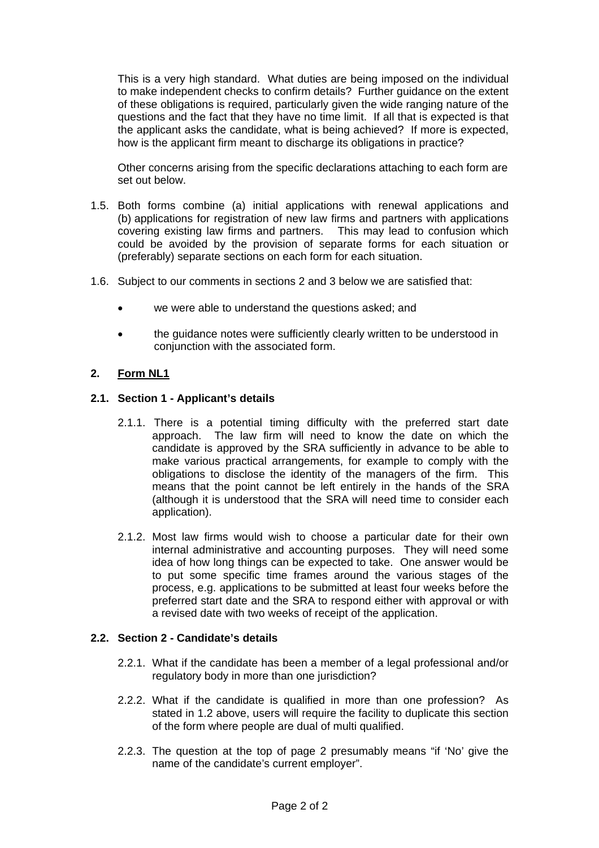This is a very high standard. What duties are being imposed on the individual to make independent checks to confirm details? Further guidance on the extent of these obligations is required, particularly given the wide ranging nature of the questions and the fact that they have no time limit. If all that is expected is that the applicant asks the candidate, what is being achieved? If more is expected, how is the applicant firm meant to discharge its obligations in practice?

Other concerns arising from the specific declarations attaching to each form are set out below.

- 1.5. Both forms combine (a) initial applications with renewal applications and (b) applications for registration of new law firms and partners with applications covering existing law firms and partners. This may lead to confusion which could be avoided by the provision of separate forms for each situation or (preferably) separate sections on each form for each situation.
- 1.6. Subject to our comments in sections [2 a](#page-1-0)nd [3](#page-3-0) below we are satisfied that:
	- we were able to understand the questions asked; and
	- the guidance notes were sufficiently clearly written to be understood in conjunction with the associated form.

#### <span id="page-1-0"></span>**2. Form NL1**

#### **2.1. Section 1 - Applicant's details**

- 2.1.1. There is a potential timing difficulty with the preferred start date approach. The law firm will need to know the date on which the candidate is approved by the SRA sufficiently in advance to be able to make various practical arrangements, for example to comply with the obligations to disclose the identity of the managers of the firm. This means that the point cannot be left entirely in the hands of the SRA (although it is understood that the SRA will need time to consider each application).
- 2.1.2. Most law firms would wish to choose a particular date for their own internal administrative and accounting purposes. They will need some idea of how long things can be expected to take. One answer would be to put some specific time frames around the various stages of the process, e.g. applications to be submitted at least four weeks before the preferred start date and the SRA to respond either with approval or with a revised date with two weeks of receipt of the application.

#### **2.2. Section 2 - Candidate's details**

- 2.2.1. What if the candidate has been a member of a legal professional and/or regulatory body in more than one jurisdiction?
- 2.2.2. What if the candidate is qualified in more than one profession? As stated in [1.2](#page-0-1) above, users will require the facility to duplicate this section of the form where people are dual of multi qualified.
- <span id="page-1-1"></span>2.2.3. The question at the top of page 2 presumably means "if 'No' give the name of the candidate's current employer".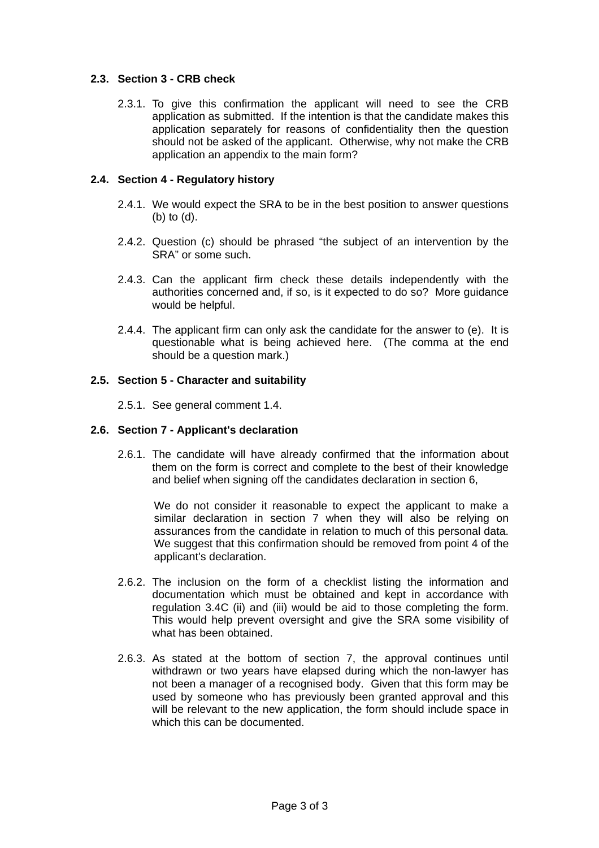#### **2.3. Section 3 - CRB check**

2.3.1. To give this confirmation the applicant will need to see the CRB application as submitted. If the intention is that the candidate makes this application separately for reasons of confidentiality then the question should not be asked of the applicant. Otherwise, why not make the CRB application an appendix to the main form?

#### **2.4. Section 4 - Regulatory history**

- 2.4.1. We would expect the SRA to be in the best position to answer questions (b) to (d).
- 2.4.2. Question (c) should be phrased "the subject of an intervention by the SRA" or some such.
- 2.4.3. Can the applicant firm check these details independently with the authorities concerned and, if so, is it expected to do so? More guidance would be helpful.
- 2.4.4. The applicant firm can only ask the candidate for the answer to (e). It is questionable what is being achieved here. (The comma at the end should be a question mark.)

#### **2.5. Section 5 - Character and suitability**

2.5.1. See general comment [1.4.](#page-1-1)

#### **2.6. Section 7 - Applicant's declaration**

2.6.1. The candidate will have already confirmed that the information about them on the form is correct and complete to the best of their knowledge and belief when signing off the candidates declaration in section 6,

We do not consider it reasonable to expect the applicant to make a similar declaration in section 7 when they will also be relying on assurances from the candidate in relation to much of this personal data. We suggest that this confirmation should be removed from point 4 of the applicant's declaration.

- 2.6.2. The inclusion on the form of a checklist listing the information and documentation which must be obtained and kept in accordance with regulation 3.4C (ii) and (iii) would be aid to those completing the form. This would help prevent oversight and give the SRA some visibility of what has been obtained.
- 2.6.3. As stated at the bottom of section 7, the approval continues until withdrawn or two years have elapsed during which the non-lawyer has not been a manager of a recognised body. Given that this form may be used by someone who has previously been granted approval and this will be relevant to the new application, the form should include space in which this can be documented.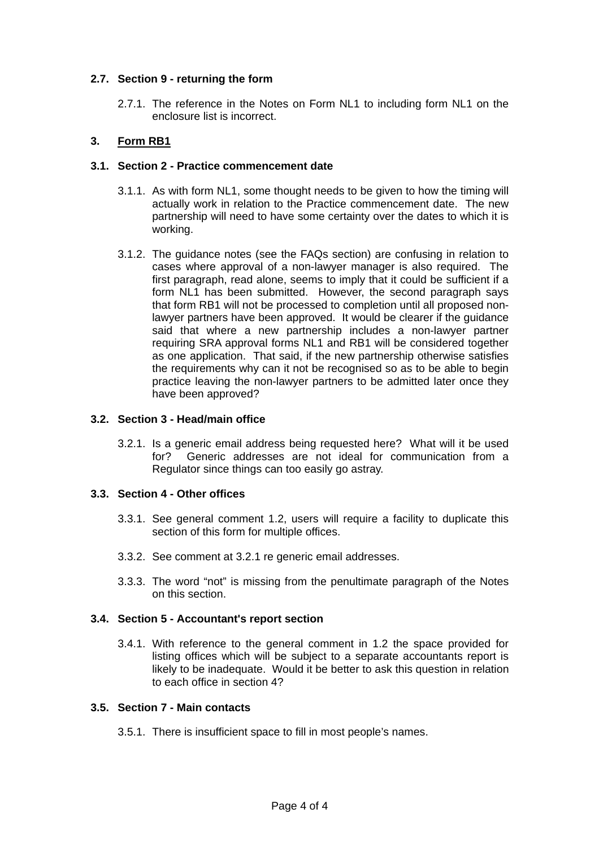#### **2.7. Section 9 - returning the form**

2.7.1. The reference in the Notes on Form NL1 to including form NL1 on the enclosure list is incorrect.

# <span id="page-3-0"></span>**3. Form RB1**

#### **3.1. Section 2 - Practice commencement date**

- 3.1.1. As with form NL1, some thought needs to be given to how the timing will actually work in relation to the Practice commencement date. The new partnership will need to have some certainty over the dates to which it is working.
- <span id="page-3-2"></span>3.1.2. The guidance notes (see the FAQs section) are confusing in relation to cases where approval of a non-lawyer manager is also required. The first paragraph, read alone, seems to imply that it could be sufficient if a form NL1 has been submitted. However, the second paragraph says that form RB1 will not be processed to completion until all proposed nonlawyer partners have been approved. It would be clearer if the guidance said that where a new partnership includes a non-lawyer partner requiring SRA approval forms NL1 and RB1 will be considered together as one application. That said, if the new partnership otherwise satisfies the requirements why can it not be recognised so as to be able to begin practice leaving the non-lawyer partners to be admitted later once they have been approved?

#### **3.2. Section 3 - Head/main office**

<span id="page-3-1"></span>3.2.1. Is a generic email address being requested here? What will it be used for? Generic addresses are not ideal for communication from a Regulator since things can too easily go astray.

#### **3.3. Section 4 - Other offices**

- 3.3.1. See general comment [1.2,](#page-0-1) users will require a facility to duplicate this section of this form for multiple offices.
- 3.3.2. See comment at [3.2.1](#page-3-1) re generic email addresses.
- 3.3.3. The word "not" is missing from the penultimate paragraph of the Notes on this section.

#### **3.4. Section 5 - Accountant's report section**

3.4.1. With reference to the general comment in [1.2](#page-0-1) the space provided for listing offices which will be subject to a separate accountants report is likely to be inadequate. Would it be better to ask this question in relation to each office in section 4?

#### **3.5. Section 7 - Main contacts**

3.5.1. There is insufficient space to fill in most people's names.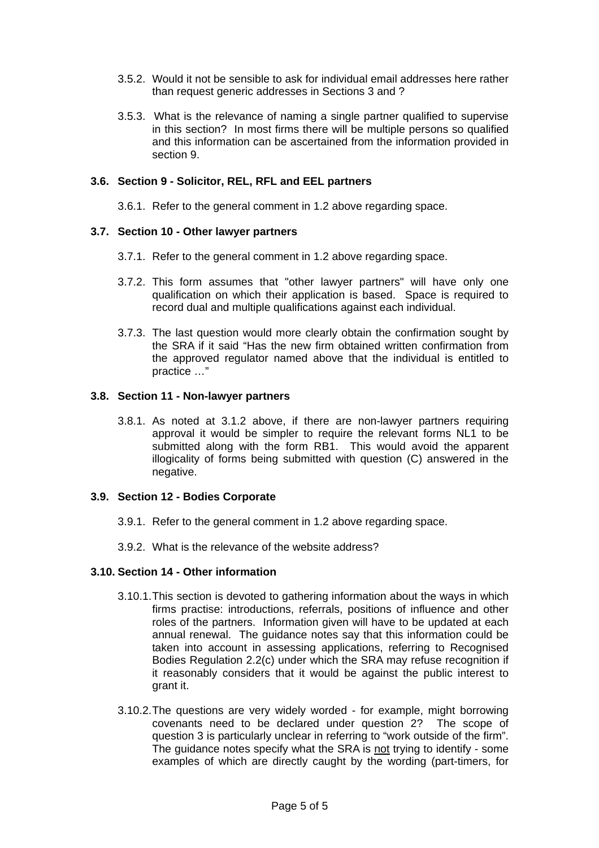- 3.5.2. Would it not be sensible to ask for individual email addresses here rather than request generic addresses in Sections 3 and ?
- 3.5.3. What is the relevance of naming a single partner qualified to supervise in this section? In most firms there will be multiple persons so qualified and this information can be ascertained from the information provided in section 9.

#### **3.6. Section 9 - Solicitor, REL, RFL and EEL partners**

3.6.1. Refer to the general comment in [1.2](#page-0-1) above regarding space.

#### **3.7. Section 10 - Other lawyer partners**

- 3.7.1. Refer to the general comment in [1.2](#page-0-1) above regarding space.
- 3.7.2. This form assumes that "other lawyer partners" will have only one qualification on which their application is based. Space is required to record dual and multiple qualifications against each individual.
- 3.7.3. The last question would more clearly obtain the confirmation sought by the SRA if it said "Has the new firm obtained written confirmation from the approved regulator named above that the individual is entitled to practice …"

#### **3.8. Section 11 - Non-lawyer partners**

3.8.1. As noted at [3.1.2](#page-3-2) above, if there are non-lawyer partners requiring approval it would be simpler to require the relevant forms NL1 to be submitted along with the form RB1. This would avoid the apparent illogicality of forms being submitted with question (C) answered in the negative.

#### **3.9. Section 12 - Bodies Corporate**

- 3.9.1. Refer to the general comment in [1.2](#page-0-1) above regarding space.
- 3.9.2. What is the relevance of the website address?

#### **3.10. Section 14 - Other information**

- 3.10.1. This section is devoted to gathering information about the ways in which firms practise: introductions, referrals, positions of influence and other roles of the partners. Information given will have to be updated at each annual renewal. The guidance notes say that this information could be taken into account in assessing applications, referring to Recognised Bodies Regulation 2.2(c) under which the SRA may refuse recognition if it reasonably considers that it would be against the public interest to grant it.
- 3.10.2. The questions are very widely worded for example, might borrowing covenants need to be declared under question 2? The scope of question 3 is particularly unclear in referring to "work outside of the firm". The guidance notes specify what the SRA is not trying to identify - some examples of which are directly caught by the wording (part-timers, for